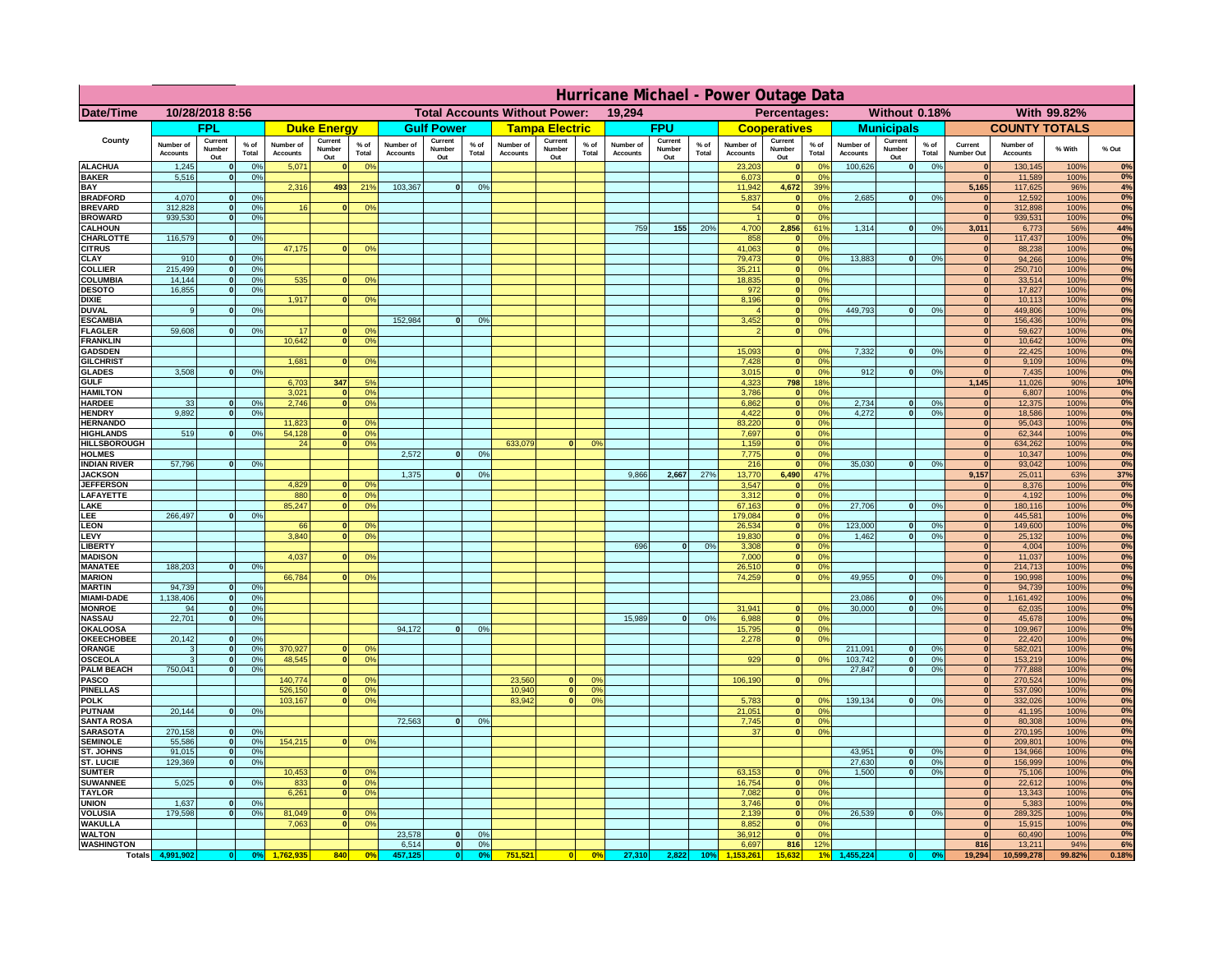|                                       | Hurricane Michael - Power Outage Data |                              |                 |                              |                                 |                                                |                              |                          |                      |                                              |                          |                                  |                              |                          |               |                              |                          |                                               |                              |                          |                 |                              |                              |               |             |
|---------------------------------------|---------------------------------------|------------------------------|-----------------|------------------------------|---------------------------------|------------------------------------------------|------------------------------|--------------------------|----------------------|----------------------------------------------|--------------------------|----------------------------------|------------------------------|--------------------------|---------------|------------------------------|--------------------------|-----------------------------------------------|------------------------------|--------------------------|-----------------|------------------------------|------------------------------|---------------|-------------|
| Date/Time                             | 10/28/2018 8:56                       |                              |                 |                              |                                 | <b>Total Accounts Without Power:</b><br>19,294 |                              |                          |                      | With 99.82%<br>Percentages:<br>Without 0.18% |                          |                                  |                              |                          |               |                              |                          |                                               |                              |                          |                 |                              |                              |               |             |
|                                       |                                       | <b>FPL</b>                   |                 |                              | <b>Duke Energy</b>              |                                                |                              | <b>Gulf Power</b>        |                      |                                              | <b>Tampa Electric</b>    |                                  |                              | <b>FPU</b>               |               |                              | <b>Cooperatives</b>      |                                               |                              | <b>Municipals</b>        |                 |                              | <b>COUNTY TOTALS</b>         |               |             |
| County                                | Number of<br><b>Accounts</b>          | Current<br>Number<br>Out     | $%$ of<br>Total | Number of<br><b>Accounts</b> | Current<br><b>Number</b><br>Out | $%$ of<br>Total                                | Number of<br><b>Accounts</b> | Current<br>Number<br>Out | $%$ of<br>Total      | Number of<br><b>Accounts</b>                 | Current<br>Number<br>Out | $%$ of<br>Total                  | Number of<br><b>Accounts</b> | Current<br>Number<br>Out | % of<br>Total | Number of<br><b>Accounts</b> | Current<br>Number<br>Out | $%$ of<br>Total                               | Number of<br><b>Accounts</b> | Current<br>Number<br>Out | $%$ of<br>Total | Current<br>Number Out        | Number of<br><b>Accounts</b> | % With        | % Out       |
| <b>ALACHUA</b><br><b>BAKER</b>        | 1,245<br>5,516                        | $\mathbf{0}$<br>$\mathbf{0}$ | 0%<br>0%        | 5,071                        |                                 | 0 <sup>9</sup>                                 |                              |                          |                      |                                              |                          |                                  |                              |                          |               | 23,203<br>6,073              | $\bf{0}$<br>$\bf{0}$     | $^{\circ}$<br>0 <sup>9</sup>                  | 100,626                      | 0                        | 0%              | $\mathbf{0}$<br>$\mathbf{0}$ | 130,145<br>11,589            | 100%<br>100%  | 0%<br>0%    |
| BAY                                   |                                       |                              |                 | 2,316                        | 493                             | 21%                                            | 103,367                      | 0                        | 0%                   |                                              |                          |                                  |                              |                          |               | 11,942                       | 4,672                    | 39%                                           |                              |                          |                 | 5,165                        | 117,625                      | 96%           | 4%          |
| <b>BRADFORD</b><br><b>BREVARD</b>     | 4,070<br>312.828                      | $\Omega$<br>$\mathbf{0}$     | 0%<br>0%        | 16                           |                                 | 0 <sup>o</sup>                                 |                              |                          |                      |                                              |                          |                                  |                              |                          |               | 5,837<br>54                  | $\mathbf{0}$<br> 0       | 0 <sup>9</sup><br>0 <sup>9</sup>              | 2,685                        | 0                        | 0%              | $\Omega$<br> 0               | 12,592<br>312,898            | 100%<br>100%  | 0%<br>0%    |
| <b>BROWARD</b>                        | 939.530                               | $\mathbf{0}$                 | 0%              |                              |                                 |                                                |                              |                          |                      |                                              |                          |                                  |                              |                          |               |                              | 0                        | 0%                                            |                              |                          |                 | 0                            | 939,531                      | 100%          | 0%          |
| <b>CALHOUN</b>                        |                                       | $\mathbf{0}$                 |                 |                              |                                 |                                                |                              |                          |                      |                                              |                          |                                  | 759                          | 155                      | 20%           | 4,700                        | 2,856                    | 61%                                           | 1,314                        | 0                        | 0%              | 3,011<br>$\mathbf{0}$        | 6,773                        | 56%           | 44%<br>0%   |
| CHARLOTTE<br><b>CITRUS</b>            | 116,579                               |                              | 0%              | 47,175                       |                                 | 0 <sup>o</sup>                                 |                              |                          |                      |                                              |                          |                                  |                              |                          |               | 858<br>41.063                | 0 <br> 0                 | 0%<br>0 <sup>9</sup>                          |                              |                          |                 | $\mathbf{0}$                 | 117,437<br>88.238            | 100%<br>100%  | 0%          |
| CLAY                                  | 910                                   |                              | 0 <sup>9</sup>  |                              |                                 |                                                |                              |                          |                      |                                              |                          |                                  |                              |                          |               | 79,473                       | 0                        | 0%                                            | 13,883                       | 0                        | 0%              | $\mathbf{0}$                 | 94,266                       | 100%          | 0%          |
| <b>COLLIER</b><br>COLUMBIA            | 215,499<br>14,144                     |                              | 0%<br>0%        | 535                          |                                 | 0 <sup>o</sup>                                 |                              |                          |                      |                                              |                          |                                  |                              |                          |               | 35,211<br>18,835             | 0 <br> 0                 | 0 <sup>9</sup><br>0 <sup>9</sup>              |                              |                          |                 | $\mathbf{0}$<br>$\mathbf{0}$ | 250,710<br>33,514            | 100%<br>100%  | 0%<br>0%    |
| <b>DESOTO</b>                         | 16,855                                |                              | 0%              |                              |                                 |                                                |                              |                          |                      |                                              |                          |                                  |                              |                          |               | 972                          | 0                        | 0 <sup>9</sup>                                |                              |                          |                 |                              | 17,827                       | 100%          | 0%          |
| <b>DIXIE</b>                          |                                       |                              |                 | 1,917                        |                                 | 0 <sup>o</sup>                                 |                              |                          |                      |                                              |                          |                                  |                              |                          |               | 8,196                        | 0                        | 0 <sup>9</sup>                                |                              |                          |                 | $\mathbf{0}$                 | 10,113                       | 100%          | 0%<br>0%    |
| <b>DUVAL</b><br><b>ESCAMBIA</b>       | 9                                     |                              | 0 <sup>9</sup>  |                              |                                 |                                                | 152,984                      | $\Omega$                 | 0 <sup>9</sup>       |                                              |                          |                                  |                              |                          |               | 3,452                        | 0 <br>$\mathbf{0}$       | 0 <sup>o</sup><br>0 <sup>o</sup>              | 449,793                      | 0                        | 0%              | $\mathbf{0}$<br>$\mathbf{0}$ | 449,806<br>156,436           | 100%<br>100%  | 0%          |
| <b>FLAGLER</b>                        | 59,608                                | $\mathbf{0}$                 | 0 <sup>9</sup>  | 17                           |                                 | 0 <sup>9</sup>                                 |                              |                          |                      |                                              |                          |                                  |                              |                          |               |                              | 0                        | 0 <sup>9</sup>                                |                              |                          |                 | $\mathbf{0}$                 | 59,627                       | 100%          | 0%          |
| <b>FRANKLIN</b>                       |                                       |                              |                 | 10,642                       |                                 | 0 <sup>9</sup>                                 |                              |                          |                      |                                              |                          |                                  |                              |                          |               | 15,093                       | $\mathbf{0}$             |                                               | 7,332                        |                          |                 | $\bf{0}$                     | 10,642<br>22,425             | 100%          | 0%<br>0%    |
| <b>GADSDEN</b><br><b>GILCHRIST</b>    |                                       |                              |                 | 1.681                        |                                 | 0 <sup>9</sup>                                 |                              |                          |                      |                                              |                          |                                  |                              |                          |               | 7,428                        | 0                        | 0 <sup>9</sup><br>0 <sup>9</sup>              |                              | 0                        | 0%              | 0 <br> 0                     | 9,109                        | 100%<br>100%  | 0%          |
| <b>GLADES</b>                         | 3.508                                 |                              | 0%              |                              |                                 |                                                |                              |                          |                      |                                              |                          |                                  |                              |                          |               | 3,015                        | 0                        | 0%                                            | 912                          | 0                        | 0%              | 0                            | 7,435                        | 100%          | 0%          |
| <b>GULF</b><br><b>HAMILTON</b>        |                                       |                              |                 | 6,703<br>3,021               | 347                             | 5%<br>0%                                       |                              |                          |                      |                                              |                          |                                  |                              |                          |               | 4,323<br>3,786               | 798<br> 0                | 18%<br>0 <sup>9</sup>                         |                              |                          |                 | 1,145<br> 0                  | 11,026<br>6,807              | 90%<br>100%   | 10%<br>0%   |
| <b>HARDEE</b>                         | 33                                    | $\mathbf{0}$                 | 0%              | 2,746                        |                                 | 0 <sup>9</sup>                                 |                              |                          |                      |                                              |                          |                                  |                              |                          |               | 6,862                        |                          | 0 <br>0%                                      | 2,734                        | $\mathbf{0}$             | 0%              | 0                            | 12,375                       | 100%          | 0%          |
| <b>HENDRY</b>                         | 9.892                                 | $\Omega$                     | 0 <sup>9</sup>  |                              |                                 |                                                |                              |                          |                      |                                              |                          |                                  |                              |                          |               | 4,422                        |                          | 0 <br>0%                                      | 4.272                        | 0                        | 0%              | 0                            | 18,586                       | 100%          | 0%          |
| <b>HERNANDO</b><br><b>HIGHLANDS</b>   | 519                                   | $\Omega$                     | 0%              | 11,823<br>54,128             |                                 | 0 <sup>o</sup><br>0 <sup>9</sup>               |                              |                          |                      |                                              |                          |                                  |                              |                          |               | 83,220<br>7,697              |                          | 0 <br>0 <sup>9</sup><br> 0 <br>0 <sup>9</sup> |                              |                          |                 | 0 <br> 0                     | 95,043<br>62,344             | 100%<br>100%  | 0%<br>0%    |
| <b>HILLSBOROUGH</b>                   |                                       |                              |                 | 24                           |                                 | 0 <sup>o</sup>                                 |                              |                          |                      | 633,079                                      | $\Omega$                 | 0 <sup>9</sup>                   |                              |                          |               | 1,159                        |                          | 0 <br>0 <sup>9</sup>                          |                              |                          |                 | 0                            | 634,262                      | 100%          | 0%          |
| <b>HOLMES</b>                         |                                       |                              |                 |                              |                                 |                                                | 2,572                        | $\Omega$                 | 0 <sup>9</sup>       |                                              |                          |                                  |                              |                          |               | 7,775                        | 0                        | 0 <sup>9</sup>                                | 35.030                       |                          |                 | $\mathbf{0}$                 | 10,347                       | 100%          | 0%<br>0%    |
| <b>INDIAN RIVER</b><br><b>JACKSON</b> | 57,796                                |                              | 0%              |                              |                                 |                                                | 1,375                        | $\Omega$                 | 0 <sup>9</sup>       |                                              |                          |                                  | 9,866                        | 2,667                    | 27%           | 216<br>13,770                | 0 <br>6,490              | 0 <sup>9</sup><br>47%                         |                              | $\mathbf{0}$             | 0%              | $\mathbf{0}$<br>9,157        | 93,042<br>25,011             | 100%<br>63%   | 37%         |
| <b>JEFFERSON</b>                      |                                       |                              |                 | 4.829                        |                                 | 0 <sup>9</sup>                                 |                              |                          |                      |                                              |                          |                                  |                              |                          |               | 3.547                        | $\mathbf{0}$             | 0%                                            |                              |                          |                 | $\mathbf{0}$                 | 8,376                        | 100%          | 0%          |
| LAFAYETTE<br>LAKE                     |                                       |                              |                 | 880<br>85,247                | n.                              | 0 <sup>9</sup><br>0%                           |                              |                          |                      |                                              |                          |                                  |                              |                          |               | 3.312<br>67,163              |                          | $\mathbf{0}$<br>0%<br> 0 <br>0%               | 27,706                       | $\mathbf{0}$             | 0%              | 0 <br> 0                     | 4,192<br>180,116             | 100%<br>100%  | 0%<br>0%    |
| LEE                                   | 266,497                               |                              | 0%              |                              |                                 |                                                |                              |                          |                      |                                              |                          |                                  |                              |                          |               | 179,084                      |                          | 0%<br> 0                                      |                              |                          |                 | 0                            | 445,581                      | 100%          | 0%          |
| <b>LEON</b>                           |                                       |                              |                 | 66                           |                                 | 0 <sup>9</sup>                                 |                              |                          |                      |                                              |                          |                                  |                              |                          |               | 26,534                       |                          | 0 <br>0%                                      | 123,000                      | $\mathbf{0}$             | 0%              | 0                            | 149,600                      | 100%          | 0%          |
| LEVY<br><b>LIBERT</b>                 |                                       |                              |                 | 3,840                        |                                 | 0 <sup>9</sup>                                 |                              |                          |                      |                                              |                          |                                  | 696                          | $\Omega$                 | 0%            | 19,830<br>3,308              |                          | 0%<br> 0 <br>0%<br> 0                         | 1,462                        | $\mathbf{0}$             | 0%              | 0 <br> 0                     | 25,132<br>4,004              | 100%<br>100%  | 0%<br>0%    |
| <b>MADISON</b>                        |                                       |                              |                 | 4,037                        |                                 | 0 <sup>o</sup>                                 |                              |                          |                      |                                              |                          |                                  |                              |                          |               | 7,000                        |                          | 0%<br> 0                                      |                              |                          |                 | 0                            | 11,037                       | 100%          | 0%          |
| <b>MANATEE</b><br><b>MARION</b>       | 188,203                               | $\mathbf{0}$                 | 0 <sup>9</sup>  | 66,784                       |                                 |                                                |                              |                          |                      |                                              |                          |                                  |                              |                          |               | 26,510<br>74,259             |                          | 0%<br> 0 <br> 0 <br>0%                        | 49,955                       | 0                        | 0%              | 0 <br>$\mathbf{0}$           | 214,713<br>190,998           | 100%<br>100%  | 0%<br>0%    |
| <b>MARTIN</b>                         | 94,739                                | $\mathbf{0}$                 | 0 <sup>9</sup>  |                              |                                 | 0 <sup>9</sup>                                 |                              |                          |                      |                                              |                          |                                  |                              |                          |               |                              |                          |                                               |                              |                          |                 | 0                            | 94,739                       | 100%          | 0%          |
| <b>MIAMI-DADE</b>                     | 1,138,406                             | 0                            | 0%              |                              |                                 |                                                |                              |                          |                      |                                              |                          |                                  |                              |                          |               |                              |                          |                                               | 23,086                       | 0                        | 0%              | 0                            | 1,161,492                    | 100%          | 0%          |
| <b>MONROE</b><br><b>NASSAU</b>        | 94<br>22,701                          | -ol<br> 0                    | 0%<br>0%        |                              |                                 |                                                |                              |                          |                      |                                              |                          |                                  | 15,989                       | 0                        | 0%            | 31,941<br>6,988              | $\mathbf{0}$             | 0 <sup>9</sup><br> 0 <br>0%                   | 30,000                       | 0                        | 0%              | $\mathbf{0}$<br> 0           | 62,035<br>45,678             | 100%<br>100%  | 0%<br>0%    |
| <b>OKALOOSA</b>                       |                                       |                              |                 |                              |                                 |                                                | 94,172                       | 0                        | 0%                   |                                              |                          |                                  |                              |                          |               | 15,795                       |                          | 0%<br> 0                                      |                              |                          |                 | 0                            | 109,967                      | 100%          | 0%          |
| <b>OKEECHOBEE</b>                     | 20,142                                | 0                            | 0%              |                              |                                 |                                                |                              |                          |                      |                                              |                          |                                  |                              |                          |               | 2,278                        |                          | 0%<br> 0                                      |                              |                          |                 | 0                            | 22,420                       | 100%          | 0%          |
| ORANGE<br><b>OSCEOLA</b>              | 3<br>3                                | 0 <br> 0                     | 0%<br>0%        | 370,927<br>48,545            | $\mathbf{0}$                    | 0 <sup>9</sup><br>0%                           |                              |                          |                      |                                              |                          |                                  |                              |                          |               | 929                          |                          | 0 <br>0%                                      | 211,091<br>103,742           | 0 <br> 0                 | 0%<br>0%        | 0 <br> 0                     | 582,021<br>153,219           | 100%<br>100%  | 0%<br>0%    |
| <b>PALM BEACH</b>                     | 750,041                               | 0                            | 0%              |                              |                                 |                                                |                              |                          |                      |                                              |                          |                                  |                              |                          |               |                              |                          |                                               | 27,847                       | 0                        | 0%              | 0                            | 777,888                      | 100%          | 0%          |
| <b>PASCO</b><br><b>PINELLAS</b>       |                                       |                              |                 | 140,774                      | $\mathbf{0}$                    | 0 <sup>9</sup><br>0%                           |                              |                          |                      | 23,560<br>10,940                             | $\mathbf{0}$             | O <sup>o</sup><br>0 <sup>9</sup> |                              |                          |               | 106,190                      |                          | 0%<br> 0                                      |                              |                          |                 | 0                            | 270,524                      | 100%<br>100%  | 0%<br>0%    |
| <b>POLK</b>                           |                                       |                              |                 | 526,150<br>103,167           | $\Omega$                        | 0 <sup>9</sup>                                 |                              |                          |                      | 83,942                                       | 0 <br> 0                 | 0 <sup>o</sup>                   |                              |                          |               | 5,783                        |                          | 0 <br>$^{\circ}$                              | 139,134                      | 0                        | 0%              | 0 <br> 0                     | 537,090<br>332,026           | 100%          | 0%          |
| <b>PUTNAM</b>                         | 20,144                                | 0                            | 0%              |                              |                                 |                                                |                              |                          |                      |                                              |                          |                                  |                              |                          |               | 21,051                       |                          | 0 <sup>9</sup><br> 0                          |                              |                          |                 | 0                            | 41,195                       | 100%          | 0%          |
| <b>SANTA ROSA</b><br><b>SARASOTA</b>  | 270,158                               | 0                            | 0 <sup>9</sup>  |                              |                                 |                                                | 72,563                       | 0                        | 0%                   |                                              |                          |                                  |                              |                          |               | 7,745<br>37                  |                          | 0 <sup>9</sup><br> 0 <br>0%<br> 0             |                              |                          |                 | $\Omega$<br>$\mathbf{0}$     | 80,308<br>270,195            | 100%<br>100%  | 0%<br>0%    |
| <b>SEMINOLE</b>                       | 55,586                                | 0                            | 0 <sup>9</sup>  | 154,215                      | $\mathbf{0}$                    | 0 <sup>9</sup>                                 |                              |                          |                      |                                              |                          |                                  |                              |                          |               |                              |                          |                                               |                              |                          |                 | 0                            | 209,801                      | 100%          | 0%          |
| ST. JOHNS                             | 91,015                                | 0                            | 0%              |                              |                                 |                                                |                              |                          |                      |                                              |                          |                                  |                              |                          |               |                              |                          |                                               | 43,951                       | 0                        | 0%              | $\mathbf{0}$                 | 134,966                      | 100%          | 0%          |
| ST. LUCIE<br><b>SUMTER</b>            | 129,369                               | $\mathbf{0}$                 | 0%              | 10,453                       |                                 | 0 <sup>9</sup>                                 |                              |                          |                      |                                              |                          |                                  |                              |                          |               | 63,153                       |                          | 0 <sup>9</sup><br>$\mathbf{0}$                | 27,630<br>1.500              | 0 <br> 0                 | 0%<br>0%        | $\mathbf{0}$<br> 0           | 156,999<br>75,106            | 100%<br>100%  | 0%<br>0%    |
| <b>SUWANNEE</b>                       | 5,025                                 | $\Omega$                     | 0%              | 833                          | $\mathbf{0}$                    | 0 <sup>9</sup>                                 |                              |                          |                      |                                              |                          |                                  |                              |                          |               | 16,754                       |                          | 0 <br>0%                                      |                              |                          |                 | $\mathbf{0}$                 | 22,612                       | 100%          | 0%          |
| <b>TAYLOR</b>                         |                                       |                              |                 | 6,261                        |                                 | 0%                                             |                              |                          |                      |                                              |                          |                                  |                              |                          |               | 7,082                        | 0                        | 0%                                            |                              |                          |                 | 0                            | 13,343                       | 100%          | 0%          |
| <b>UNION</b><br><b>VOLUSIA</b>        | 1.637<br>179.598                      | $\mathbf{0}$<br>$\mathbf{0}$ | 0%<br>0%        | 81,049                       |                                 | 0 <sup>9</sup>                                 |                              |                          |                      |                                              |                          |                                  |                              |                          |               | 3.746<br>2.139               |                          | 0%<br> 0 <br> 0 <br>0%                        | 26.539                       | 0                        | 0%              | $\mathbf{0}$<br>$\mathbf{0}$ | 5,383<br>289,325             | 100%<br>100%  | $0\%$<br>0% |
| <b>WAKULLA</b>                        |                                       |                              |                 | 7,063                        |                                 | 0 <sup>o</sup>                                 |                              |                          |                      |                                              |                          |                                  |                              |                          |               | 8,852                        |                          | 0%<br> 0                                      |                              |                          |                 | $\mathbf{0}$                 | 15,915                       | 100%          | 0%          |
| <b>WALTON</b>                         |                                       |                              |                 |                              |                                 |                                                | 23,578                       | 0                        | 0 <sup>9</sup>       |                                              |                          |                                  |                              |                          |               | 36,912                       | 0                        | 0%                                            |                              |                          |                 | 0                            | 60,490                       | 100%          | 0%          |
| <b>WASHINGTON</b><br><b>Totals</b>    | 4,991,902                             | 0                            | 0 <sup>o</sup>  |                              | 840                             | 0 <sup>5</sup>                                 | 6,514<br>457,125             | 0 <br> 0                 | 0%<br>0 <sup>9</sup> | 751,521                                      | 0                        | 0%                               | 27,310                       | 2,822                    | 10%           | 6,697                        | 816<br>15.63             | 12%                                           | 1,455,224                    | $\bf{0}$                 | 0 <sup>o</sup>  | 816<br>19,294                | 13,211<br>10,599,278         | 94%<br>99.82% | 6%<br>0.18% |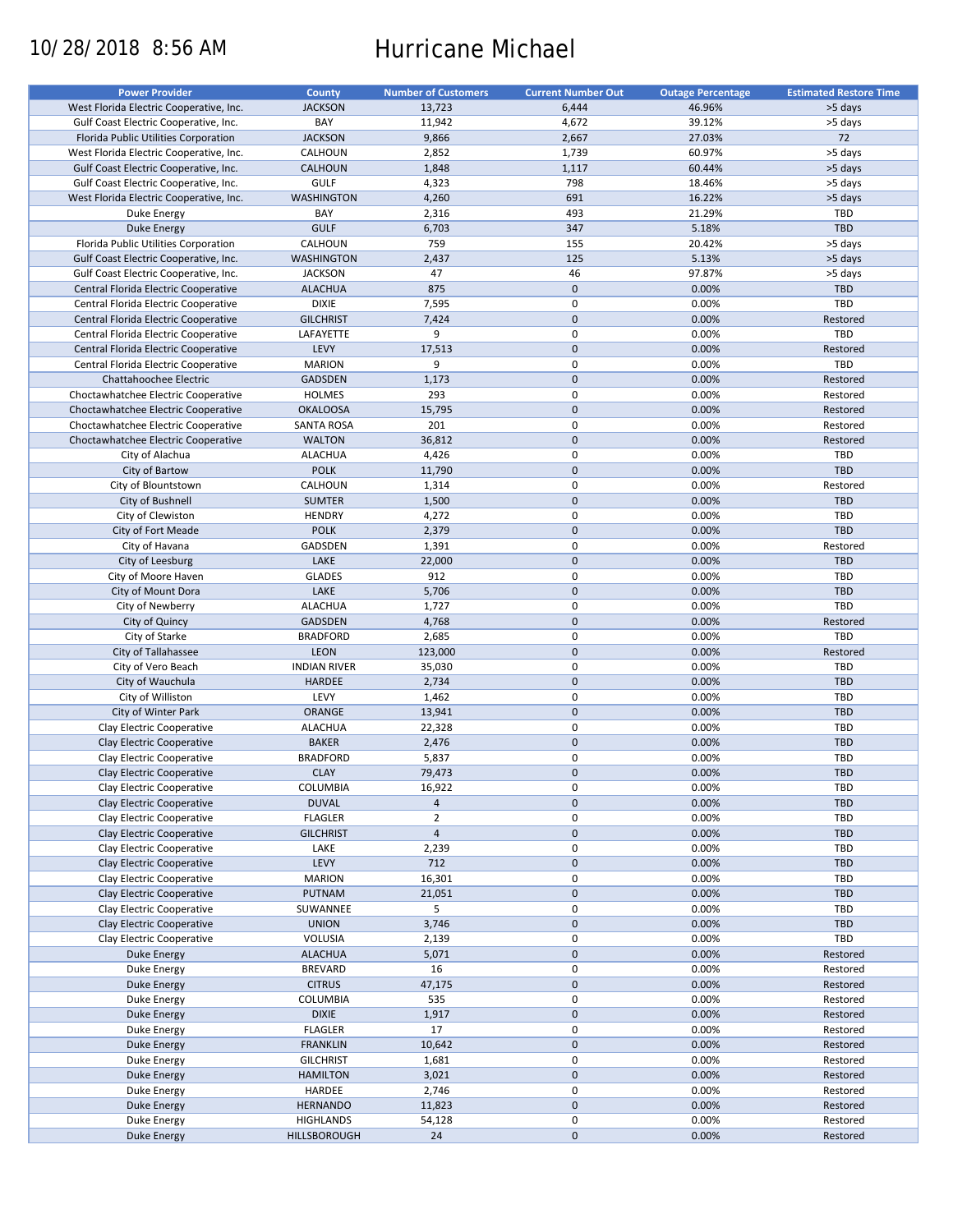# 10/28/2018 8:56 AM Hurricane Michael

| <b>Power Provider</b>                   | County              | <b>Number of Customers</b> | <b>Current Number Out</b> | <b>Outage Percentage</b> | <b>Estimated Restore Time</b> |
|-----------------------------------------|---------------------|----------------------------|---------------------------|--------------------------|-------------------------------|
| West Florida Electric Cooperative, Inc. | <b>JACKSON</b>      | 13,723                     | 6,444                     | 46.96%                   | >5 days                       |
| Gulf Coast Electric Cooperative, Inc.   | BAY                 | 11,942                     | 4,672                     | 39.12%                   | >5 days                       |
| Florida Public Utilities Corporation    | <b>JACKSON</b>      | 9,866                      | 2,667                     | 27.03%                   | 72                            |
|                                         |                     |                            |                           |                          |                               |
| West Florida Electric Cooperative, Inc. | CALHOUN             | 2,852                      | 1,739                     | 60.97%                   | >5 days                       |
| Gulf Coast Electric Cooperative, Inc.   | <b>CALHOUN</b>      | 1,848                      | 1,117                     | 60.44%                   | >5 days                       |
| Gulf Coast Electric Cooperative, Inc.   | <b>GULF</b>         | 4,323                      | 798                       | 18.46%                   | >5 days                       |
| West Florida Electric Cooperative, Inc. | <b>WASHINGTON</b>   | 4,260                      | 691                       | 16.22%                   | >5 days                       |
| Duke Energy                             | BAY                 | 2,316                      | 493                       | 21.29%                   | TBD                           |
| Duke Energy                             | <b>GULF</b>         | 6,703                      | 347                       | 5.18%                    | <b>TBD</b>                    |
| Florida Public Utilities Corporation    | CALHOUN             | 759                        | 155                       | 20.42%                   | >5 days                       |
| Gulf Coast Electric Cooperative, Inc.   | <b>WASHINGTON</b>   | 2,437                      | 125                       | 5.13%                    | >5 days                       |
| Gulf Coast Electric Cooperative, Inc.   | <b>JACKSON</b>      | 47                         | 46                        | 97.87%                   | >5 days                       |
| Central Florida Electric Cooperative    | <b>ALACHUA</b>      | 875                        | $\mathbf 0$               | 0.00%                    | <b>TBD</b>                    |
|                                         |                     | 7,595                      | $\mathbf 0$               | 0.00%                    | TBD                           |
| Central Florida Electric Cooperative    | <b>DIXIE</b>        |                            |                           |                          |                               |
| Central Florida Electric Cooperative    | <b>GILCHRIST</b>    | 7,424                      | $\mathbf{0}$              | 0.00%                    | Restored                      |
| Central Florida Electric Cooperative    | LAFAYETTE           | 9                          | $\mathsf 0$               | 0.00%                    | TBD                           |
| Central Florida Electric Cooperative    | LEVY                | 17,513                     | $\mathbf{0}$              | 0.00%                    | Restored                      |
| Central Florida Electric Cooperative    | <b>MARION</b>       | 9                          | $\mathbf 0$               | 0.00%                    | TBD                           |
| Chattahoochee Electric                  | <b>GADSDEN</b>      | 1,173                      | $\mathbf 0$               | 0.00%                    | Restored                      |
| Choctawhatchee Electric Cooperative     | <b>HOLMES</b>       | 293                        | $\mathbf 0$               | 0.00%                    | Restored                      |
| Choctawhatchee Electric Cooperative     | <b>OKALOOSA</b>     | 15,795                     | $\mathbf 0$               | 0.00%                    | Restored                      |
| Choctawhatchee Electric Cooperative     | <b>SANTA ROSA</b>   | 201                        | $\mathbf 0$               | 0.00%                    | Restored                      |
| Choctawhatchee Electric Cooperative     | <b>WALTON</b>       | 36,812                     | $\mathbf 0$               |                          | Restored                      |
|                                         |                     |                            |                           | 0.00%                    |                               |
| City of Alachua                         | <b>ALACHUA</b>      | 4,426                      | $\mathsf 0$               | 0.00%                    | <b>TBD</b>                    |
| City of Bartow                          | <b>POLK</b>         | 11,790                     | $\mathbf 0$               | 0.00%                    | TBD                           |
| City of Blountstown                     | CALHOUN             | 1,314                      | $\mathbf 0$               | 0.00%                    | Restored                      |
| City of Bushnell                        | <b>SUMTER</b>       | 1,500                      | $\mathbf 0$               | 0.00%                    | TBD                           |
| City of Clewiston                       | <b>HENDRY</b>       | 4,272                      | $\mathbf 0$               | 0.00%                    | <b>TBD</b>                    |
| City of Fort Meade                      | <b>POLK</b>         | 2,379                      | $\mathbf 0$               | 0.00%                    | TBD                           |
| City of Havana                          | GADSDEN             | 1,391                      | $\mathbf 0$               | 0.00%                    | Restored                      |
| City of Leesburg                        | LAKE                | 22,000                     | $\mathbf 0$               | 0.00%                    | <b>TBD</b>                    |
| City of Moore Haven                     | <b>GLADES</b>       | 912                        | $\mathsf 0$               | 0.00%                    | <b>TBD</b>                    |
|                                         |                     |                            |                           |                          |                               |
| City of Mount Dora                      | LAKE                | 5,706                      | $\mathbf 0$               | 0.00%                    | TBD                           |
| City of Newberry                        | <b>ALACHUA</b>      | 1,727                      | $\mathsf 0$               | 0.00%                    | TBD                           |
| City of Quincy                          | GADSDEN             | 4,768                      | $\mathbf 0$               | 0.00%                    | Restored                      |
| City of Starke                          | <b>BRADFORD</b>     | 2,685                      | 0                         | 0.00%                    | TBD                           |
| City of Tallahassee                     | LEON                | 123,000                    | $\mathbf 0$               | 0.00%                    | Restored                      |
| City of Vero Beach                      | <b>INDIAN RIVER</b> | 35,030                     | $\mathbf 0$               | 0.00%                    | TBD                           |
| City of Wauchula                        | <b>HARDEE</b>       | 2,734                      | $\mathbf 0$               | 0.00%                    | <b>TBD</b>                    |
| City of Williston                       | LEVY                | 1,462                      | $\mathsf 0$               | 0.00%                    | <b>TBD</b>                    |
| City of Winter Park                     | <b>ORANGE</b>       | 13,941                     | $\mathbf 0$               | 0.00%                    | <b>TBD</b>                    |
| Clay Electric Cooperative               | <b>ALACHUA</b>      | 22,328                     | $\mathbf 0$               | 0.00%                    | <b>TBD</b>                    |
|                                         |                     |                            |                           |                          |                               |
| Clay Electric Cooperative               | <b>BAKER</b>        | 2,476                      | $\mathbf 0$               | 0.00%                    | TBD                           |
| Clay Electric Cooperative               | <b>BRADFORD</b>     | 5,837                      | 0                         | 0.00%                    | <b>TBD</b>                    |
| Clay Electric Cooperative               | <b>CLAY</b>         | 79,473                     | $\mathbf{0}$              | 0.00%                    | <b>TBD</b>                    |
| Clay Electric Cooperative               | COLUMBIA            | 16,922                     | $\pmb{0}$                 | 0.00%                    | <b>TBD</b>                    |
| Clay Electric Cooperative               | <b>DUVAL</b>        | $\overline{a}$             | $\pmb{0}$                 | 0.00%                    | TBD                           |
| Clay Electric Cooperative               | <b>FLAGLER</b>      | $\overline{2}$             | $\pmb{0}$                 | 0.00%                    | <b>TBD</b>                    |
| Clay Electric Cooperative               | <b>GILCHRIST</b>    | $\overline{4}$             | $\pmb{0}$                 | 0.00%                    | <b>TBD</b>                    |
| Clay Electric Cooperative               | LAKE                | 2,239                      | $\pmb{0}$                 | 0.00%                    | TBD                           |
| Clay Electric Cooperative               | LEVY                | 712                        | $\pmb{0}$                 | 0.00%                    | <b>TBD</b>                    |
|                                         |                     |                            |                           |                          |                               |
| Clay Electric Cooperative               | <b>MARION</b>       | 16,301                     | $\pmb{0}$                 | 0.00%                    | <b>TBD</b>                    |
| Clay Electric Cooperative               | PUTNAM              | 21,051                     | $\pmb{0}$                 | 0.00%                    | <b>TBD</b>                    |
| Clay Electric Cooperative               | SUWANNEE            | 5                          | $\pmb{0}$                 | 0.00%                    | TBD                           |
| Clay Electric Cooperative               | <b>UNION</b>        | 3,746                      | 0                         | 0.00%                    | TBD                           |
| Clay Electric Cooperative               | VOLUSIA             | 2,139                      | $\pmb{0}$                 | 0.00%                    | TBD                           |
| <b>Duke Energy</b>                      | <b>ALACHUA</b>      | 5,071                      | $\pmb{0}$                 | 0.00%                    | Restored                      |
| Duke Energy                             | <b>BREVARD</b>      | 16                         | $\pmb{0}$                 | 0.00%                    | Restored                      |
| Duke Energy                             | <b>CITRUS</b>       | 47,175                     | $\pmb{0}$                 | 0.00%                    | Restored                      |
|                                         |                     |                            |                           |                          |                               |
| Duke Energy                             | COLUMBIA            | 535                        | 0                         | 0.00%                    | Restored                      |
| Duke Energy                             | <b>DIXIE</b>        | 1,917                      | $\pmb{0}$                 | 0.00%                    | Restored                      |
| Duke Energy                             | <b>FLAGLER</b>      | 17                         | $\pmb{0}$                 | 0.00%                    | Restored                      |
| <b>Duke Energy</b>                      | <b>FRANKLIN</b>     | 10,642                     | $\pmb{0}$                 | 0.00%                    | Restored                      |
| Duke Energy                             | <b>GILCHRIST</b>    | 1,681                      | 0                         | 0.00%                    | Restored                      |
| <b>Duke Energy</b>                      | <b>HAMILTON</b>     | 3,021                      | $\pmb{0}$                 | 0.00%                    | Restored                      |
| Duke Energy                             | HARDEE              | 2,746                      | $\pmb{0}$                 | 0.00%                    | Restored                      |
| <b>Duke Energy</b>                      | <b>HERNANDO</b>     | 11,823                     | 0                         | 0.00%                    | Restored                      |
| Duke Energy                             | <b>HIGHLANDS</b>    | 54,128                     | 0                         | 0.00%                    | Restored                      |
|                                         |                     |                            |                           |                          |                               |
| <b>Duke Energy</b>                      | HILLSBOROUGH        | 24                         | $\pmb{0}$                 | 0.00%                    | Restored                      |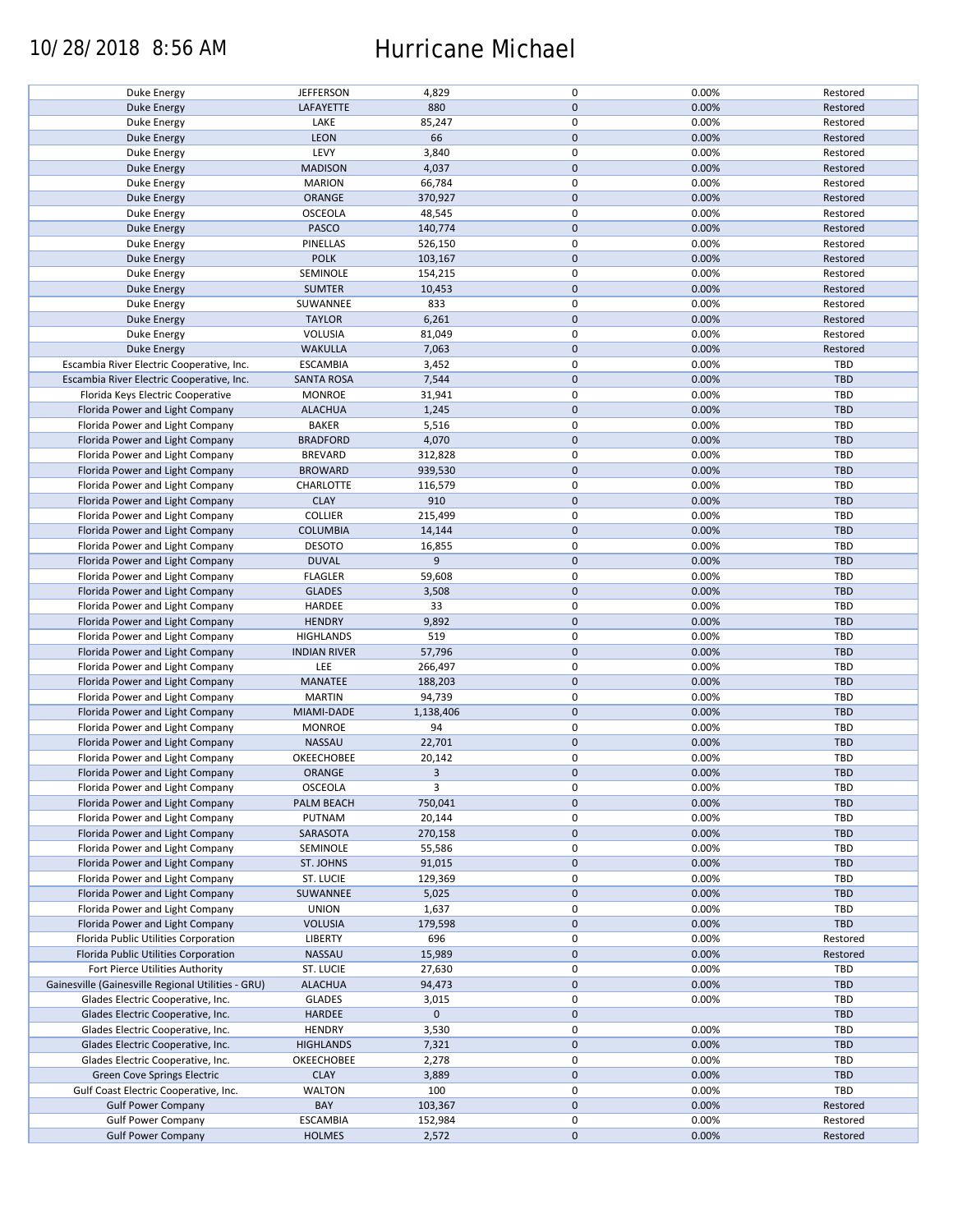### 10/28/2018 8:56 AM Hurricane Michael

|                                                    | <b>JEFFERSON</b>    | 4,829       | 0            | 0.00% | Restored   |
|----------------------------------------------------|---------------------|-------------|--------------|-------|------------|
| Duke Energy                                        |                     |             |              |       |            |
| <b>Duke Energy</b>                                 | LAFAYETTE           | 880         | $\mathbf{0}$ | 0.00% | Restored   |
| Duke Energy                                        | LAKE                | 85,247      | $\mathsf 0$  | 0.00% | Restored   |
| <b>Duke Energy</b>                                 | <b>LEON</b>         | 66          | $\mathbf{0}$ | 0.00% | Restored   |
| <b>Duke Energy</b>                                 | LEVY                | 3,840       | $\mathsf 0$  | 0.00% | Restored   |
|                                                    |                     |             |              |       |            |
| Duke Energy                                        | <b>MADISON</b>      | 4,037       | $\mathbf 0$  | 0.00% | Restored   |
| Duke Energy                                        | <b>MARION</b>       | 66,784      | $\mathsf 0$  | 0.00% | Restored   |
| <b>Duke Energy</b>                                 | ORANGE              | 370,927     | $\mathbf 0$  | 0.00% | Restored   |
| <b>Duke Energy</b>                                 | <b>OSCEOLA</b>      | 48,545      | $\mathsf 0$  | 0.00% | Restored   |
| <b>Duke Energy</b>                                 | PASCO               | 140,774     | $\mathbf 0$  | 0.00% | Restored   |
|                                                    |                     |             |              |       |            |
| Duke Energy                                        | PINELLAS            | 526,150     | $\mathsf 0$  | 0.00% | Restored   |
| <b>Duke Energy</b>                                 | <b>POLK</b>         | 103,167     | $\mathbf 0$  | 0.00% | Restored   |
| Duke Energy                                        | SEMINOLE            | 154,215     | $\pmb{0}$    | 0.00% | Restored   |
| <b>Duke Energy</b>                                 | <b>SUMTER</b>       | 10,453      | $\mathbf 0$  | 0.00% | Restored   |
|                                                    | SUWANNEE            | 833         | $\mathsf 0$  | 0.00% | Restored   |
| Duke Energy                                        |                     |             |              |       |            |
| <b>Duke Energy</b>                                 | <b>TAYLOR</b>       | 6,261       | $\mathbf 0$  | 0.00% | Restored   |
| Duke Energy                                        | VOLUSIA             | 81,049      | $\mathsf 0$  | 0.00% | Restored   |
| <b>Duke Energy</b>                                 | <b>WAKULLA</b>      | 7,063       | $\mathbf 0$  | 0.00% | Restored   |
| Escambia River Electric Cooperative, Inc.          | <b>ESCAMBIA</b>     | 3,452       | $\mathsf 0$  | 0.00% | TBD        |
|                                                    |                     |             | $\mathbf 0$  |       |            |
| Escambia River Electric Cooperative, Inc.          | <b>SANTA ROSA</b>   | 7,544       |              | 0.00% | <b>TBD</b> |
| Florida Keys Electric Cooperative                  | <b>MONROE</b>       | 31,941      | $\mathsf 0$  | 0.00% | TBD        |
| Florida Power and Light Company                    | <b>ALACHUA</b>      | 1,245       | $\mathbf 0$  | 0.00% | <b>TBD</b> |
| Florida Power and Light Company                    | <b>BAKER</b>        | 5,516       | $\mathsf 0$  | 0.00% | TBD        |
| Florida Power and Light Company                    | <b>BRADFORD</b>     | 4,070       | $\mathbf 0$  | 0.00% | <b>TBD</b> |
|                                                    |                     |             |              |       |            |
| Florida Power and Light Company                    | <b>BREVARD</b>      | 312,828     | $\mathsf 0$  | 0.00% | TBD        |
| Florida Power and Light Company                    | <b>BROWARD</b>      | 939,530     | $\mathbf 0$  | 0.00% | TBD        |
| Florida Power and Light Company                    | CHARLOTTE           | 116,579     | $\mathsf 0$  | 0.00% | <b>TBD</b> |
| Florida Power and Light Company                    | <b>CLAY</b>         | 910         | $\mathbf 0$  | 0.00% | <b>TBD</b> |
| Florida Power and Light Company                    | COLLIER             | 215,499     | $\mathsf 0$  | 0.00% | TBD        |
|                                                    |                     |             |              |       |            |
| Florida Power and Light Company                    | <b>COLUMBIA</b>     | 14,144      | $\pmb{0}$    | 0.00% | TBD        |
| Florida Power and Light Company                    | <b>DESOTO</b>       | 16,855      | $\pmb{0}$    | 0.00% | TBD        |
| Florida Power and Light Company                    | <b>DUVAL</b>        | 9           | $\mathbf 0$  | 0.00% | <b>TBD</b> |
| Florida Power and Light Company                    | <b>FLAGLER</b>      | 59,608      | $\mathsf 0$  | 0.00% | TBD        |
| Florida Power and Light Company                    | <b>GLADES</b>       |             | $\mathbf 0$  | 0.00% | <b>TBD</b> |
|                                                    |                     | 3,508       |              |       |            |
| Florida Power and Light Company                    | HARDEE              | 33          | $\mathsf 0$  | 0.00% | TBD        |
| Florida Power and Light Company                    | <b>HENDRY</b>       | 9,892       | $\mathbf 0$  | 0.00% | TBD        |
| Florida Power and Light Company                    | <b>HIGHLANDS</b>    | 519         | $\mathsf 0$  | 0.00% | TBD        |
| Florida Power and Light Company                    | <b>INDIAN RIVER</b> | 57,796      | $\pmb{0}$    | 0.00% | TBD        |
| Florida Power and Light Company                    | LEE                 | 266,497     | $\mathsf 0$  | 0.00% | TBD        |
|                                                    |                     |             |              |       |            |
| Florida Power and Light Company                    | <b>MANATEE</b>      | 188,203     | $\mathbf 0$  | 0.00% | TBD        |
| Florida Power and Light Company                    | <b>MARTIN</b>       | 94,739      | $\mathsf 0$  | 0.00% | TBD        |
| Florida Power and Light Company                    | MIAMI-DADE          | 1,138,406   | $\mathbf 0$  | 0.00% | <b>TBD</b> |
| Florida Power and Light Company                    | <b>MONROE</b>       | 94          | $\mathsf 0$  | 0.00% | <b>TBD</b> |
| Florida Power and Light Company                    | NASSAU              | 22,701      | $\mathbf 0$  | 0.00% | TBD        |
|                                                    |                     |             |              |       |            |
| Florida Power and Light Company                    | OKEECHOBEE          | 20,142      | $\mathsf 0$  | 0.00% | <b>TBD</b> |
| Florida Power and Light Company                    | <b>ORANGE</b>       | 3           | $\mathbf{0}$ | 0.00% | TBD        |
| Florida Power and Light Company                    | <b>OSCEOLA</b>      | 3           | 0            | 0.00% | TBD        |
| Florida Power and Light Company                    | PALM BEACH          | 750,041     | $\mathbf 0$  | 0.00% | TBD        |
|                                                    |                     |             |              |       |            |
| Florida Power and Light Company                    | PUTNAM              | 20,144      | 0            | 0.00% | TBD        |
| Florida Power and Light Company                    | SARASOTA            | 270,158     | $\mathbf 0$  | 0.00% | <b>TBD</b> |
| Florida Power and Light Company                    | SEMINOLE            | 55,586      | 0            | 0.00% | <b>TBD</b> |
| Florida Power and Light Company                    | ST. JOHNS           | 91,015      | $\mathbf 0$  | 0.00% | TBD        |
| Florida Power and Light Company                    | ST. LUCIE           | 129,369     | 0            | 0.00% | TBD        |
|                                                    |                     |             |              |       |            |
| Florida Power and Light Company                    | SUWANNEE            | 5,025       | $\mathbf 0$  | 0.00% | TBD        |
| Florida Power and Light Company                    | <b>UNION</b>        | 1,637       | $\mathsf 0$  | 0.00% | TBD        |
| Florida Power and Light Company                    | <b>VOLUSIA</b>      | 179,598     | $\mathbf 0$  | 0.00% | TBD        |
| Florida Public Utilities Corporation               | <b>LIBERTY</b>      | 696         | 0            | 0.00% | Restored   |
| Florida Public Utilities Corporation               | NASSAU              | 15,989      | $\mathbf 0$  | 0.00% | Restored   |
|                                                    |                     |             |              |       |            |
| Fort Pierce Utilities Authority                    | ST. LUCIE           | 27,630      | 0            | 0.00% | TBD        |
| Gainesville (Gainesville Regional Utilities - GRU) | <b>ALACHUA</b>      | 94,473      | $\mathbf 0$  | 0.00% | TBD        |
| Glades Electric Cooperative, Inc.                  | <b>GLADES</b>       | 3,015       | 0            | 0.00% | TBD        |
| Glades Electric Cooperative, Inc.                  | HARDEE              | $\mathbf 0$ | $\mathbf 0$  |       | TBD        |
|                                                    |                     |             | $\mathsf 0$  |       | TBD        |
| Glades Electric Cooperative, Inc.                  | <b>HENDRY</b>       | 3,530       |              | 0.00% |            |
| Glades Electric Cooperative, Inc.                  | <b>HIGHLANDS</b>    | 7,321       | $\mathbf 0$  | 0.00% | TBD        |
| Glades Electric Cooperative, Inc.                  | OKEECHOBEE          | 2,278       | 0            | 0.00% | TBD        |
| Green Cove Springs Electric                        | <b>CLAY</b>         | 3,889       | $\mathbf 0$  | 0.00% | TBD        |
| Gulf Coast Electric Cooperative, Inc.              | <b>WALTON</b>       | 100         | 0            | 0.00% | TBD        |
| <b>Gulf Power Company</b>                          | BAY                 | 103,367     | $\mathbf 0$  | 0.00% |            |
|                                                    |                     |             |              |       | Restored   |
| <b>Gulf Power Company</b>                          | <b>ESCAMBIA</b>     | 152,984     | 0            | 0.00% | Restored   |
| <b>Gulf Power Company</b>                          | <b>HOLMES</b>       | 2,572       | $\mathbf 0$  | 0.00% | Restored   |